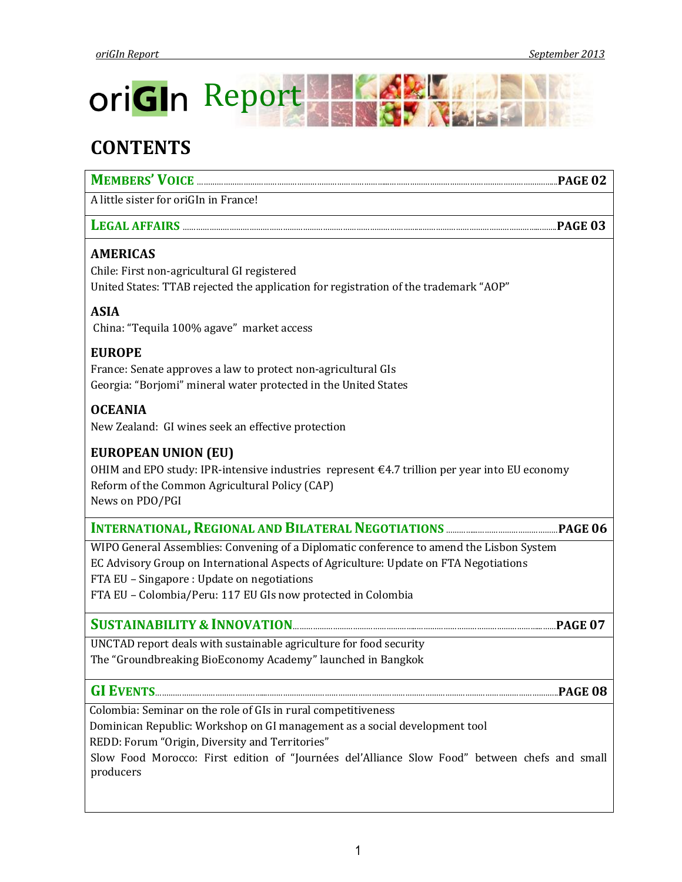

# **CONTENTS**

| <b>MEMBERS' VOICE.</b>                |  |
|---------------------------------------|--|
| A little sister for oriGIn in France! |  |

# **LEGAL AFFAIRS** ……………………………………………………………………………………………...……………………………………………...…….**PAGE 03**

# **AMERICAS**

Chile: First non-agricultural GI registered United States: TTAB rejected the application for registration of the trademark "AOP"

# **ASIA**

China: "Tequila 100% agave" market access

# **EUROPE**

France: Senate approves a law to protect non-agricultural GIs Georgia: "Borjomi" mineral water protected in the United States

# **OCEANIA**

New Zealand: GI wines seek an effective protection

# **EUROPEAN UNION (EU)**

OHIM and EPO study: IPR-intensive industries represent €4.7 trillion per year into EU economy Reform of the Common Agricultural Policy (CAP) News on PDO/PGI

# **INTERNATIONAL,REGIONAL AND BILATERAL NEGOTIATIONS** …………...………………………………**PAGE 06**

WIPO General Assemblies: Convening of a Diplomatic conference to amend the Lisbon System EC Advisory Group on International Aspects of Agriculture: Update on FTA Negotiations FTA EU – Singapore : Update on negotiations FTA EU – Colombia/Peru: 117 EU GIs now protected in Colombia

# **SUSTAINABILITY & INNOVATION**………………………………………………..………………………………………………...……**PAGE 07**

UNCTAD report deals with sustainable agriculture for food security The "Groundbreaking BioEconomy Academy" launched in Bangkok

# **GI EVENTS**…………………………………………....…………….…………………………………………………………………………………………………...**PAGE 08**

Colombia: Seminar on the role of GIs in rural competitiveness

Dominican Republic: Workshop on GI management as a social development tool

REDD: Forum "Origin, Diversity and Territories"

Slow Food Morocco: First edition of "Journées del'Alliance Slow Food" between chefs and small producers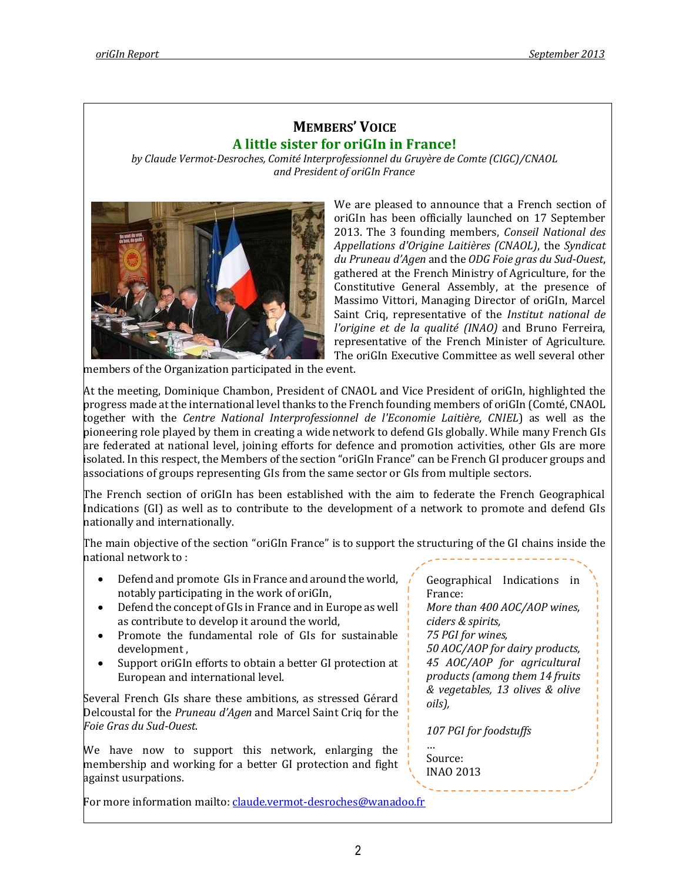# **MEMBERS' VOICE A little sister for oriGIn in France!**

*by Claude Vermot-Desroches, Comité Interprofessionnel du Gruyère de Comte (CIGC)/CNAOL and President of oriGIn France*



We are pleased to announce that a French section of oriGIn has been officially launched on 17 September 2013. The 3 founding members, *Conseil National des Appellations d'Origine Laitières (CNAOL)*, the *Syndicat du Pruneau d'Agen* and the *ODG Foie gras du Sud-Ouest*, gathered at the French Ministry of Agriculture, for the Constitutive General Assembly, at the presence of Massimo Vittori, Managing Director of oriGIn, Marcel Saint Criq, representative of the *Institut national de l'origine et de la qualité (INAO)* and Bruno Ferreira, representative of the French Minister of Agriculture. The oriGIn Executive Committee as well several other

members of the Organization participated in the event.

At the meeting, Dominique Chambon, President of CNAOL and Vice President of oriGIn, highlighted the progress made at the international level thanks to the French founding members of oriGIn (Comté, CNAOL together with the *Centre National Interprofessionnel de l'Economie Laitière, CNIEL*) as well as the pioneering role played by them in creating a wide network to defend GIs globally. While many French GIs are federated at national level, joining efforts for defence and promotion activities, other GIs are more isolated. In this respect, the Members of the section "oriGIn France" can be French GI producer groups and associations of groups representing GIs from the same sector or GIs from multiple sectors.

The French section of oriGIn has been established with the aim to federate the French Geographical Indications (GI) as well as to contribute to the development of a network to promote and defend GIs nationally and internationally.

The main objective of the section "oriGIn France" is to support the structuring of the GI chains inside the national network to :

- Defend and promote GIs in France and around the world, notably participating in the work of oriGIn,
- Defend the concept of GIs in France and in Europe as well as contribute to develop it around the world,
- Promote the fundamental role of GIs for sustainable development ,
- Support oriGIn efforts to obtain a better GI protection at European and international level.

Several French GIs share these ambitions, as stressed Gérard Delcoustal for the *Pruneau d'Agen* and Marcel Saint Criq for the *Foie Gras du Sud-Ouest*.

We have now to support this network, enlarging the membership and working for a better GI protection and fight against usurpations.

For more information mailto: [claude.vermot-desroches@wanadoo.fr](mailto:claude.vermot-desroches@wanadoo.fr)

Geographical Indications in France: *More than 400 AOC/AOP wines, ciders & spirits, 75 PGI for wines, 50 AOC/AOP for dairy products, 45 AOC/AOP for agricultural products (among them 14 fruits & vegetables, 13 olives & olive oils), 107 PGI for foodstuffs*

… Source: INAO 2013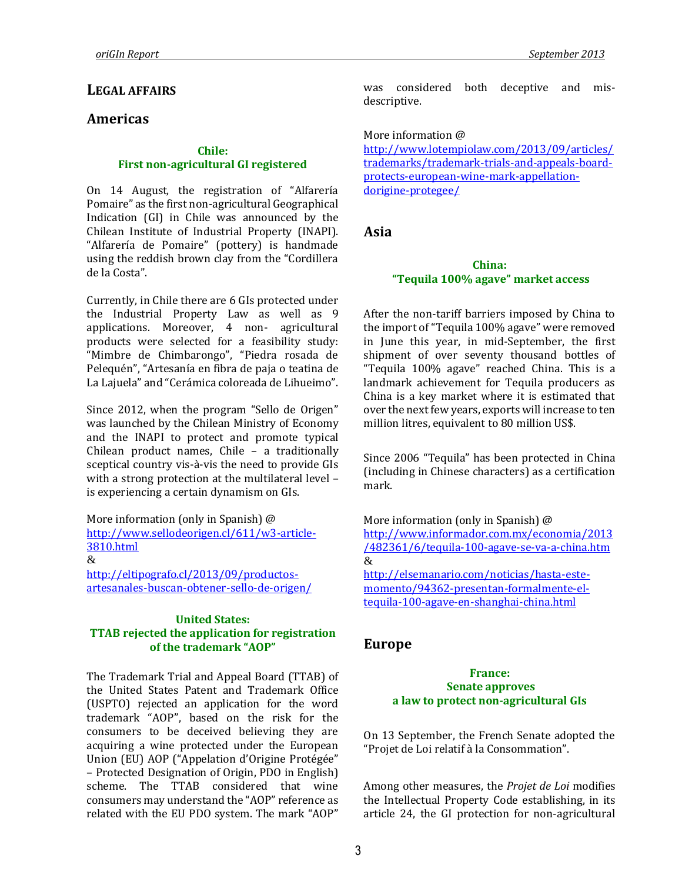### **LEGAL AFFAIRS**

# **Americas**

#### **Chile: First non-agricultural GI registered**

On 14 August, the registration of "Alfarería Pomaire" as the first non-agricultural Geographical Indication (GI) in Chile was announced by the Chilean Institute of Industrial Property (INAPI). "Alfarería de Pomaire" (pottery) is handmade using the reddish brown clay from the "Cordillera de la Costa".

Currently, in Chile there are 6 GIs protected under the Industrial Property Law as well as 9 applications. Moreover, 4 non- agricultural products were selected for a feasibility study: "Mimbre de Chimbarongo", "Piedra rosada de Pelequén", "Artesanía en fibra de paja o teatina de La Lajuela" and "Cerámica coloreada de Lihueimo".

Since 2012, when the program "Sello de Origen" was launched by the Chilean Ministry of Economy and the INAPI to protect and promote typical Chilean product names, Chile – a traditionally sceptical country vis-à-vis the need to provide GIs with a strong protection at the multilateral level – is experiencing a certain dynamism on GIs.

More information (only in Spanish) @ [http://www.sellodeorigen.cl/611/w3-article-](http://www.sellodeorigen.cl/611/w3-article-3810.html)[3810.html](http://www.sellodeorigen.cl/611/w3-article-3810.html)  $\mathcal{X}$ 

[http://eltipografo.cl/2013/09/productos](http://eltipografo.cl/2013/09/productos-artesanales-buscan-obtener-sello-de-origen/)[artesanales-buscan-obtener-sello-de-origen/](http://eltipografo.cl/2013/09/productos-artesanales-buscan-obtener-sello-de-origen/)

#### **United States: TTAB rejected the application for registration of the trademark "AOP"**

The Trademark Trial and Appeal Board (TTAB) of the United States Patent and Trademark Office (USPTO) rejected an application for the word trademark "AOP", based on the risk for the consumers to be deceived believing they are acquiring a wine protected under the European Union (EU) AOP ("Appelation d'Origine Protégée" – Protected Designation of Origin, PDO in English) scheme. The TTAB considered that wine consumers may understand the "AOP" reference as related with the EU PDO system. The mark "AOP"

was considered both deceptive and misdescriptive.

More information @

[http://www.lotempiolaw.com/2013/09/articles/](http://www.lotempiolaw.com/2013/09/articles/trademarks/trademark-trials-and-appeals-board-protects-european-wine-mark-appellation-dorigine-protegee/) [trademarks/trademark-trials-and-appeals-board](http://www.lotempiolaw.com/2013/09/articles/trademarks/trademark-trials-and-appeals-board-protects-european-wine-mark-appellation-dorigine-protegee/)[protects-european-wine-mark-appellation](http://www.lotempiolaw.com/2013/09/articles/trademarks/trademark-trials-and-appeals-board-protects-european-wine-mark-appellation-dorigine-protegee/)[dorigine-protegee/](http://www.lotempiolaw.com/2013/09/articles/trademarks/trademark-trials-and-appeals-board-protects-european-wine-mark-appellation-dorigine-protegee/)

**Asia**

#### **China: "Tequila 100% agave" market access**

After the non-tariff barriers imposed by China to the import of "Tequila 100% agave" were removed in June this year, in mid-September, the first shipment of over seventy thousand bottles of "Tequila 100% agave" reached China. This is a landmark achievement for Tequila producers as China is a key market where it is estimated that over the next few years, exports will increase to ten million litres, equivalent to 80 million US\$.

Since 2006 "Tequila" has been protected in China (including in Chinese characters) as a certification mark.

More information (only in Spanish) @ [http://www.informador.com.mx/economia/2013](http://www.informador.com.mx/economia/2013/482361/6/tequila-100-agave-se-va-a-china.htm) [/482361/6/tequila-100-agave-se-va-a-china.htm](http://www.informador.com.mx/economia/2013/482361/6/tequila-100-agave-se-va-a-china.htm) & [http://elsemanario.com/noticias/hasta-este](http://elsemanario.com/noticias/hasta-este-momento/94362-presentan-formalmente-el-tequila-100-agave-en-shanghai-china.html)[momento/94362-presentan-formalmente-el](http://elsemanario.com/noticias/hasta-este-momento/94362-presentan-formalmente-el-tequila-100-agave-en-shanghai-china.html)[tequila-100-agave-en-shanghai-china.html](http://elsemanario.com/noticias/hasta-este-momento/94362-presentan-formalmente-el-tequila-100-agave-en-shanghai-china.html)

# **Europe**

#### **France: Senate approves a law to protect non-agricultural GIs**

On 13 September, the French Senate adopted the "Projet de Loi relatif à la Consommation".

Among other measures, the *Projet de Loi* modifies the Intellectual Property Code establishing, in its article 24, the GI protection for non-agricultural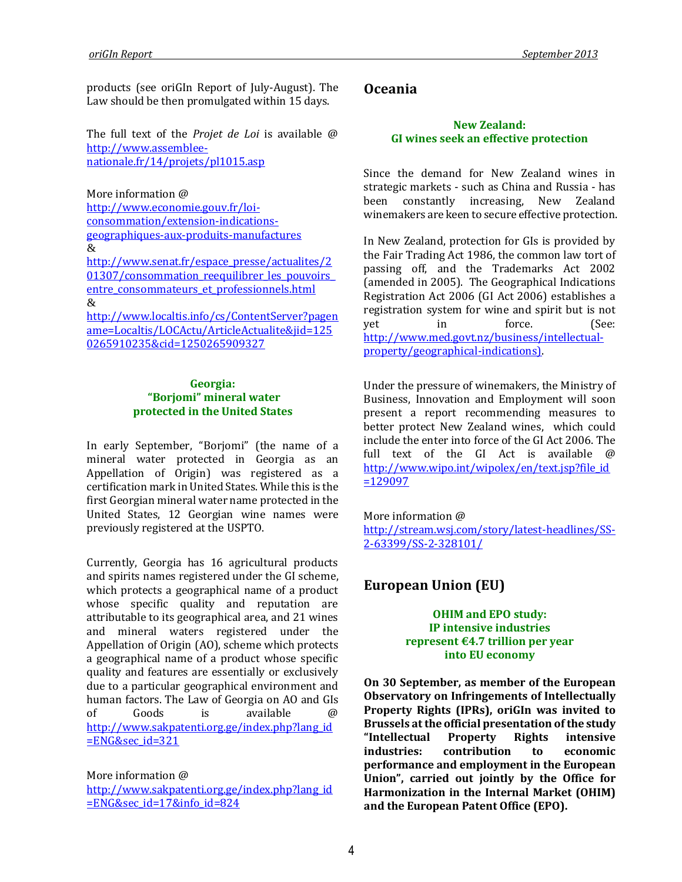products (see oriGIn Report of July-August). The Law should be then promulgated within 15 days.

The full text of the *Projet de Loi* is available @ [http://www.assemblee](http://www.assemblee-nationale.fr/14/projets/pl1015.asp)[nationale.fr/14/projets/pl1015.asp](http://www.assemblee-nationale.fr/14/projets/pl1015.asp)

More information @

[http://www.economie.gouv.fr/loi](http://www.economie.gouv.fr/loi-consommation/extension-indications-geographiques-aux-produits-manufactures)[consommation/extension-indications](http://www.economie.gouv.fr/loi-consommation/extension-indications-geographiques-aux-produits-manufactures)[geographiques-aux-produits-manufactures](http://www.economie.gouv.fr/loi-consommation/extension-indications-geographiques-aux-produits-manufactures) & [http://www.senat.fr/espace\\_presse/actualites/2](http://www.senat.fr/espace_presse/actualites/201307/consommation_reequilibrer_les_pouvoirs_entre_consommateurs_et_professionnels.html) [01307/consommation\\_reequilibrer\\_les\\_pouvoirs\\_](http://www.senat.fr/espace_presse/actualites/201307/consommation_reequilibrer_les_pouvoirs_entre_consommateurs_et_professionnels.html) [entre\\_consommateurs\\_et\\_professionnels.html](http://www.senat.fr/espace_presse/actualites/201307/consommation_reequilibrer_les_pouvoirs_entre_consommateurs_et_professionnels.html)  $\&$ 

[http://www.localtis.info/cs/ContentServer?pagen](http://www.localtis.info/cs/ContentServer?pagename=Localtis/LOCActu/ArticleActualite&jid=1250265910235&cid=1250265909327) [ame=Localtis/LOCActu/ArticleActualite&jid=125](http://www.localtis.info/cs/ContentServer?pagename=Localtis/LOCActu/ArticleActualite&jid=1250265910235&cid=1250265909327) [0265910235&cid=1250265909327](http://www.localtis.info/cs/ContentServer?pagename=Localtis/LOCActu/ArticleActualite&jid=1250265910235&cid=1250265909327)

#### **Georgia: "Borjomi" mineral water protected in the United States**

In early September, "Borjomi" (the name of a mineral water protected in Georgia as an Appellation of Origin) was registered as a certification mark in United States. While this is the first Georgian mineral water name protected in the United States, 12 Georgian wine names were previously registered at the USPTO.

Currently, Georgia has 16 agricultural products and spirits names registered under the GI scheme, which protects a geographical name of a product whose specific quality and reputation are attributable to its geographical area, and 21 wines and mineral waters registered under the Appellation of Origin (AO), scheme which protects a geographical name of a product whose specific quality and features are essentially or exclusively due to a particular geographical environment and human factors. The Law of Georgia on AO and GIs of Goods is available @ [http://www.sakpatenti.org.ge/index.php?lang\\_id](http://www.sakpatenti.org.ge/index.php?lang_id=ENG&sec_id=321)  $ENG&sec$  id=321

More information @ [http://www.sakpatenti.org.ge/index.php?lang\\_id](http://www.sakpatenti.org.ge/index.php?lang_id=ENG&sec_id=17&info_id=824) [=ENG&sec\\_id=17&info\\_id=824](http://www.sakpatenti.org.ge/index.php?lang_id=ENG&sec_id=17&info_id=824)

# **Oceania**

#### **New Zealand: GI wines seek an effective protection**

Since the demand for New Zealand wines in strategic markets - such as China and Russia - has been constantly increasing, New Zealand winemakers are keen to secure effective protection.

In New Zealand, protection for GIs is provided by the Fair Trading Act 1986, the common law tort of passing off, and the Trademarks Act 2002 (amended in 2005). The Geographical Indications Registration Act 2006 (GI Act 2006) establishes a registration system for wine and spirit but is not yet in force. (See: [http://www.med.govt.nz/business/intellectual](http://www.med.govt.nz/business/intellectual-property/geographical-indications)[property/geographical-indications\)](http://www.med.govt.nz/business/intellectual-property/geographical-indications).

Under the pressure of winemakers, the Ministry of Business, Innovation and Employment will soon present a report recommending measures to better protect New Zealand wines, which could include the enter into force of the GI Act 2006. The full text of the GI Act is available @ [http://www.wipo.int/wipolex/en/text.jsp?file\\_id](http://www.wipo.int/wipolex/en/text.jsp?file_id=129097) [=129097](http://www.wipo.int/wipolex/en/text.jsp?file_id=129097)

More information @ [http://stream.wsj.com/story/latest-headlines/SS-](http://stream.wsj.com/story/latest-headlines/SS-2-63399/SS-2-328101/)[2-63399/SS-2-328101/](http://stream.wsj.com/story/latest-headlines/SS-2-63399/SS-2-328101/)

# **European Union (EU)**

**OHIM and EPO study: IP intensive industries represent €4.7 trillion per year into EU economy**

**On 30 September, as member of the European Observatory on Infringements of Intellectually Property Rights (IPRs), oriGIn was invited to Brussels at the official presentation of the study "Intellectual Property Rights intensive industries: contribution to economic performance and employment in the European Union", carried out jointly by the Office for Harmonization in the Internal Market (OHIM) and the European Patent Office (EPO).**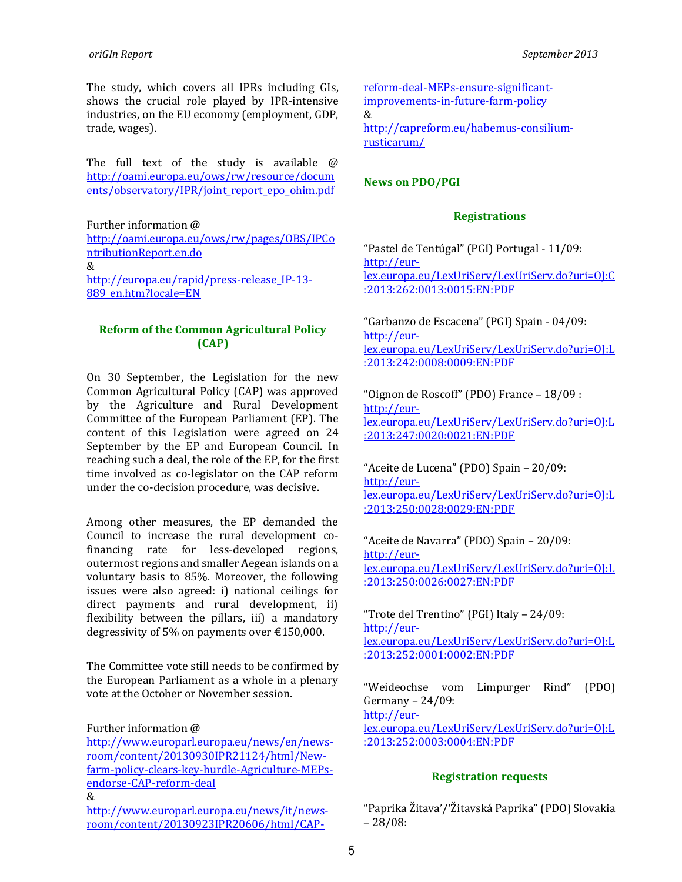The study, which covers all IPRs including GIs, shows the crucial role played by IPR-intensive industries, on the EU economy (employment, GDP, trade, wages).

The full text of the study is available @ [http://oami.europa.eu/ows/rw/resource/docum](http://oami.europa.eu/ows/rw/resource/documents/observatory/IPR/joint_report_epo_ohim.pdf) [ents/observatory/IPR/joint\\_report\\_epo\\_ohim.pdf](http://oami.europa.eu/ows/rw/resource/documents/observatory/IPR/joint_report_epo_ohim.pdf)

Further information @

[http://oami.europa.eu/ows/rw/pages/OBS/IPCo](http://oami.europa.eu/ows/rw/pages/OBS/IPContributionReport.en.do) [ntributionReport.en.do](http://oami.europa.eu/ows/rw/pages/OBS/IPContributionReport.en.do) &

[http://europa.eu/rapid/press-release\\_IP-13-](http://europa.eu/rapid/press-release_IP-13-889_en.htm?locale=EN) [889\\_en.htm?locale=EN](http://europa.eu/rapid/press-release_IP-13-889_en.htm?locale=EN)

### **Reform of the Common Agricultural Policy (CAP)**

On 30 September, the Legislation for the new Common Agricultural Policy (CAP) was approved by the Agriculture and Rural Development Committee of the European Parliament (EP). The content of this Legislation were agreed on 24 September by the EP and European Council. In reaching such a deal, the role of the EP, for the first time involved as co-legislator on the CAP reform under the co-decision procedure, was decisive.

Among other measures, the EP demanded the Council to increase the rural development cofinancing rate for less-developed regions, outermost regions and smaller Aegean islands on a voluntary basis to 85%. Moreover, the following issues were also agreed: i) national ceilings for direct payments and rural development, ii) flexibility between the pillars, iii) a mandatory degressivity of 5% on payments over €150,000.

The Committee vote still needs to be confirmed by the European Parliament as a whole in a plenary vote at the October or November session.

Further information @

[http://www.europarl.europa.eu/news/en/news](http://www.europarl.europa.eu/news/en/news-room/content/20130930IPR21124/html/New-farm-policy-clears-key-hurdle-Agriculture-MEPs-endorse-CAP-reform-deal)[room/content/20130930IPR21124/html/New](http://www.europarl.europa.eu/news/en/news-room/content/20130930IPR21124/html/New-farm-policy-clears-key-hurdle-Agriculture-MEPs-endorse-CAP-reform-deal)[farm-policy-clears-key-hurdle-Agriculture-MEPs](http://www.europarl.europa.eu/news/en/news-room/content/20130930IPR21124/html/New-farm-policy-clears-key-hurdle-Agriculture-MEPs-endorse-CAP-reform-deal)[endorse-CAP-reform-deal](http://www.europarl.europa.eu/news/en/news-room/content/20130930IPR21124/html/New-farm-policy-clears-key-hurdle-Agriculture-MEPs-endorse-CAP-reform-deal) &

[http://www.europarl.europa.eu/news/it/news](http://www.europarl.europa.eu/news/it/news-room/content/20130923IPR20606/html/CAP-reform-deal-MEPs-ensure-significant-improvements-in-future-farm-policy)[room/content/20130923IPR20606/html/CAP-](http://www.europarl.europa.eu/news/it/news-room/content/20130923IPR20606/html/CAP-reform-deal-MEPs-ensure-significant-improvements-in-future-farm-policy)

[reform-deal-MEPs-ensure-significant](http://www.europarl.europa.eu/news/it/news-room/content/20130923IPR20606/html/CAP-reform-deal-MEPs-ensure-significant-improvements-in-future-farm-policy)[improvements-in-future-farm-policy](http://www.europarl.europa.eu/news/it/news-room/content/20130923IPR20606/html/CAP-reform-deal-MEPs-ensure-significant-improvements-in-future-farm-policy) & [http://capreform.eu/habemus-consilium](http://capreform.eu/habemus-consilium-rusticarum/)[rusticarum/](http://capreform.eu/habemus-consilium-rusticarum/)

#### **News on PDO/PGI**

#### **Registrations**

"Pastel de Tentúgal" (PGI) Portugal - 11/09: [http://eur](http://eur-lex.europa.eu/LexUriServ/LexUriServ.do?uri=OJ:C:2013:262:0013:0015:EN:PDF)[lex.europa.eu/LexUriServ/LexUriServ.do?uri=OJ:C](http://eur-lex.europa.eu/LexUriServ/LexUriServ.do?uri=OJ:C:2013:262:0013:0015:EN:PDF) [:2013:262:0013:0015:EN:PDF](http://eur-lex.europa.eu/LexUriServ/LexUriServ.do?uri=OJ:C:2013:262:0013:0015:EN:PDF)

"Garbanzo de Escacena" (PGI) Spain - 04/09: [http://eur](http://eur-lex.europa.eu/LexUriServ/LexUriServ.do?uri=OJ:L:2013:242:0008:0009:EN:PDF)[lex.europa.eu/LexUriServ/LexUriServ.do?uri=OJ:L](http://eur-lex.europa.eu/LexUriServ/LexUriServ.do?uri=OJ:L:2013:242:0008:0009:EN:PDF) [:2013:242:0008:0009:EN:PDF](http://eur-lex.europa.eu/LexUriServ/LexUriServ.do?uri=OJ:L:2013:242:0008:0009:EN:PDF)

"Oignon de Roscoff" (PDO) France – 18/09 : [http://eur](http://eur-lex.europa.eu/LexUriServ/LexUriServ.do?uri=OJ:L:2013:247:0020:0021:EN:PDF)[lex.europa.eu/LexUriServ/LexUriServ.do?uri=OJ:L](http://eur-lex.europa.eu/LexUriServ/LexUriServ.do?uri=OJ:L:2013:247:0020:0021:EN:PDF) [:2013:247:0020:0021:EN:PDF](http://eur-lex.europa.eu/LexUriServ/LexUriServ.do?uri=OJ:L:2013:247:0020:0021:EN:PDF)

"Aceite de Lucena" (PDO) Spain – 20/09: [http://eur](http://eur-lex.europa.eu/LexUriServ/LexUriServ.do?uri=OJ:L:2013:250:0028:0029:EN:PDF)[lex.europa.eu/LexUriServ/LexUriServ.do?uri=OJ:L](http://eur-lex.europa.eu/LexUriServ/LexUriServ.do?uri=OJ:L:2013:250:0028:0029:EN:PDF) [:2013:250:0028:0029:EN:PDF](http://eur-lex.europa.eu/LexUriServ/LexUriServ.do?uri=OJ:L:2013:250:0028:0029:EN:PDF)

"Aceite de Navarra" (PDO) Spain – 20/09: [http://eur](http://eur-lex.europa.eu/LexUriServ/LexUriServ.do?uri=OJ:L:2013:250:0026:0027:EN:PDF)[lex.europa.eu/LexUriServ/LexUriServ.do?uri=OJ:L](http://eur-lex.europa.eu/LexUriServ/LexUriServ.do?uri=OJ:L:2013:250:0026:0027:EN:PDF) [:2013:250:0026:0027:EN:PDF](http://eur-lex.europa.eu/LexUriServ/LexUriServ.do?uri=OJ:L:2013:250:0026:0027:EN:PDF)

"Trote del Trentino" (PGI) Italy – 24/09: [http://eur](http://eur-lex.europa.eu/LexUriServ/LexUriServ.do?uri=OJ:L:2013:252:0001:0002:EN:PDF)[lex.europa.eu/LexUriServ/LexUriServ.do?uri=OJ:L](http://eur-lex.europa.eu/LexUriServ/LexUriServ.do?uri=OJ:L:2013:252:0001:0002:EN:PDF) [:2013:252:0001:0002:EN:PDF](http://eur-lex.europa.eu/LexUriServ/LexUriServ.do?uri=OJ:L:2013:252:0001:0002:EN:PDF)

"Weideochse vom Limpurger Rind" (PDO) Germany – 24/09: [http://eur](http://eur-lex.europa.eu/LexUriServ/LexUriServ.do?uri=OJ:L:2013:252:0003:0004:EN:PDF)[lex.europa.eu/LexUriServ/LexUriServ.do?uri=OJ:L](http://eur-lex.europa.eu/LexUriServ/LexUriServ.do?uri=OJ:L:2013:252:0003:0004:EN:PDF) [:2013:252:0003:0004:EN:PDF](http://eur-lex.europa.eu/LexUriServ/LexUriServ.do?uri=OJ:L:2013:252:0003:0004:EN:PDF)

#### **Registration requests**

"Paprika Žitava'/'Žitavská Paprika" (PDO) Slovakia – 28/08: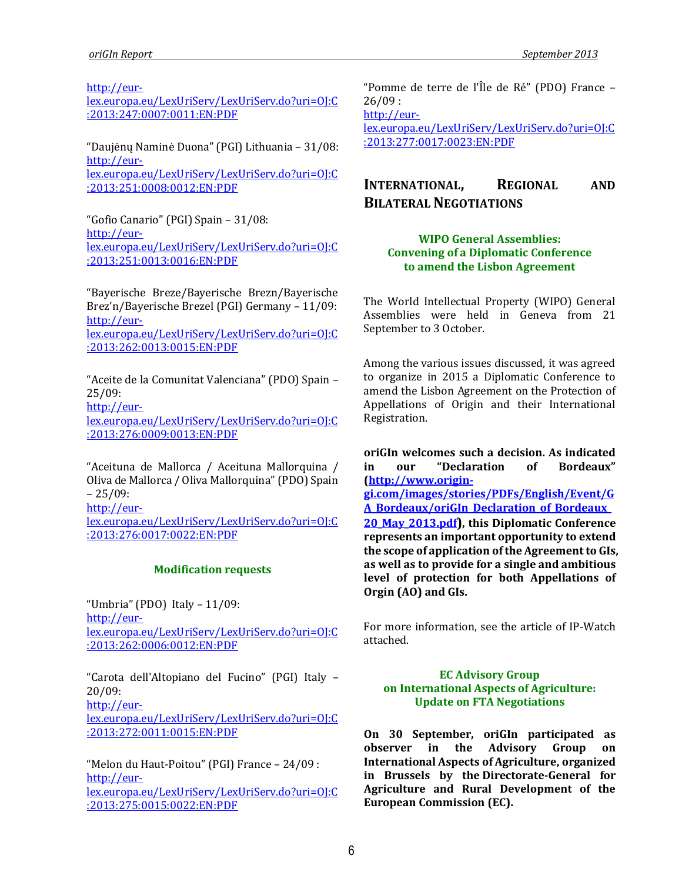[http://eur-](http://eur-lex.europa.eu/LexUriServ/LexUriServ.do?uri=OJ:C:2013:247:0007:0011:EN:PDF)

[lex.europa.eu/LexUriServ/LexUriServ.do?uri=OJ:C](http://eur-lex.europa.eu/LexUriServ/LexUriServ.do?uri=OJ:C:2013:247:0007:0011:EN:PDF) [:2013:247:0007:0011:EN:PDF](http://eur-lex.europa.eu/LexUriServ/LexUriServ.do?uri=OJ:C:2013:247:0007:0011:EN:PDF)

"Daujėnų Naminė Duona" (PGI) Lithuania – 31/08: [http://eur-](http://eur-lex.europa.eu/LexUriServ/LexUriServ.do?uri=OJ:C:2013:251:0008:0012:EN:PDF)

[lex.europa.eu/LexUriServ/LexUriServ.do?uri=OJ:C](http://eur-lex.europa.eu/LexUriServ/LexUriServ.do?uri=OJ:C:2013:251:0008:0012:EN:PDF) [:2013:251:0008:0012:EN:PDF](http://eur-lex.europa.eu/LexUriServ/LexUriServ.do?uri=OJ:C:2013:251:0008:0012:EN:PDF)

"Gofio Canario" (PGI) Spain – 31/08: [http://eur](http://eur-lex.europa.eu/LexUriServ/LexUriServ.do?uri=OJ:C:2013:251:0013:0016:EN:PDF)[lex.europa.eu/LexUriServ/LexUriServ.do?uri=OJ:C](http://eur-lex.europa.eu/LexUriServ/LexUriServ.do?uri=OJ:C:2013:251:0013:0016:EN:PDF) [:2013:251:0013:0016:EN:PDF](http://eur-lex.europa.eu/LexUriServ/LexUriServ.do?uri=OJ:C:2013:251:0013:0016:EN:PDF)

"Bayerische Breze/Bayerische Brezn/Bayerische Brez'n/Bayerische Brezel (PGI) Germany – 11/09: [http://eur](http://eur-lex.europa.eu/LexUriServ/LexUriServ.do?uri=OJ:C:2013:262:0013:0015:EN:PDF)[lex.europa.eu/LexUriServ/LexUriServ.do?uri=OJ:C](http://eur-lex.europa.eu/LexUriServ/LexUriServ.do?uri=OJ:C:2013:262:0013:0015:EN:PDF) [:2013:262:0013:0015:EN:PDF](http://eur-lex.europa.eu/LexUriServ/LexUriServ.do?uri=OJ:C:2013:262:0013:0015:EN:PDF)

"Aceite de la Comunitat Valenciana" (PDO) Spain – 25/09: [http://eur-](http://eur-lex.europa.eu/LexUriServ/LexUriServ.do?uri=OJ:C:2013:276:0009:0013:EN:PDF)

[lex.europa.eu/LexUriServ/LexUriServ.do?uri=OJ:C](http://eur-lex.europa.eu/LexUriServ/LexUriServ.do?uri=OJ:C:2013:276:0009:0013:EN:PDF) [:2013:276:0009:0013:EN:PDF](http://eur-lex.europa.eu/LexUriServ/LexUriServ.do?uri=OJ:C:2013:276:0009:0013:EN:PDF)

"Aceituna de Mallorca / Aceituna Mallorquina / Oliva de Mallorca / Oliva Mallorquina" (PDO) Spain  $-25/09:$ [http://eur](http://eur-lex.europa.eu/LexUriServ/LexUriServ.do?uri=OJ:C:2013:276:0017:0022:EN:PDF)[lex.europa.eu/LexUriServ/LexUriServ.do?uri=OJ:C](http://eur-lex.europa.eu/LexUriServ/LexUriServ.do?uri=OJ:C:2013:276:0017:0022:EN:PDF) [:2013:276:0017:0022:EN:PDF](http://eur-lex.europa.eu/LexUriServ/LexUriServ.do?uri=OJ:C:2013:276:0017:0022:EN:PDF)

### **Modification requests**

"Umbria" (PDO) Italy – 11/09: [http://eur](http://eur-lex.europa.eu/LexUriServ/LexUriServ.do?uri=OJ:C:2013:262:0006:0012:EN:PDF)[lex.europa.eu/LexUriServ/LexUriServ.do?uri=OJ:C](http://eur-lex.europa.eu/LexUriServ/LexUriServ.do?uri=OJ:C:2013:262:0006:0012:EN:PDF) [:2013:262:0006:0012:EN:PDF](http://eur-lex.europa.eu/LexUriServ/LexUriServ.do?uri=OJ:C:2013:262:0006:0012:EN:PDF)

"Carota dell'Altopiano del Fucino" (PGI) Italy – 20/09:

[http://eur](http://eur-lex.europa.eu/LexUriServ/LexUriServ.do?uri=OJ:C:2013:272:0011:0015:EN:PDF)[lex.europa.eu/LexUriServ/LexUriServ.do?uri=OJ:C](http://eur-lex.europa.eu/LexUriServ/LexUriServ.do?uri=OJ:C:2013:272:0011:0015:EN:PDF) [:2013:272:0011:0015:EN:PDF](http://eur-lex.europa.eu/LexUriServ/LexUriServ.do?uri=OJ:C:2013:272:0011:0015:EN:PDF)

"Melon du Haut-Poitou" (PGI) France – 24/09 : [http://eur](http://eur-lex.europa.eu/LexUriServ/LexUriServ.do?uri=OJ:C:2013:275:0015:0022:EN:PDF)[lex.europa.eu/LexUriServ/LexUriServ.do?uri=OJ:C](http://eur-lex.europa.eu/LexUriServ/LexUriServ.do?uri=OJ:C:2013:275:0015:0022:EN:PDF) [:2013:275:0015:0022:EN:PDF](http://eur-lex.europa.eu/LexUriServ/LexUriServ.do?uri=OJ:C:2013:275:0015:0022:EN:PDF)

"Pomme de terre de l'Île de Ré" (PDO) France – 26/09 :

[http://eur-](http://eur-lex.europa.eu/LexUriServ/LexUriServ.do?uri=OJ:C:2013:277:0017:0023:EN:PDF)

[lex.europa.eu/LexUriServ/LexUriServ.do?uri=OJ:C](http://eur-lex.europa.eu/LexUriServ/LexUriServ.do?uri=OJ:C:2013:277:0017:0023:EN:PDF) [:2013:277:0017:0023:EN:PDF](http://eur-lex.europa.eu/LexUriServ/LexUriServ.do?uri=OJ:C:2013:277:0017:0023:EN:PDF)

# **INTERNATIONAL, REGIONAL AND BILATERAL NEGOTIATIONS**

### **WIPO General Assemblies: Convening of a Diplomatic Conference to amend the Lisbon Agreement**

The World Intellectual Property (WIPO) General Assemblies were held in Geneva from 21 September to 3 October.

Among the various issues discussed, it was agreed to organize in 2015 a Diplomatic Conference to amend the Lisbon Agreement on the Protection of Appellations of Origin and their International Registration.

**oriGIn welcomes such a decision. As indicated in our "Declaration of Bordeaux" [\(http://www.origin](http://www.origin-gi.com/images/stories/PDFs/English/Event/GA_Bordeaux/oriGIn_Declaration_of_Bordeaux_20_May_2013.pdf)[gi.com/images/stories/PDFs/English/Event/G](http://www.origin-gi.com/images/stories/PDFs/English/Event/GA_Bordeaux/oriGIn_Declaration_of_Bordeaux_20_May_2013.pdf) [A\\_Bordeaux/oriGIn\\_Declaration\\_of\\_Bordeaux\\_](http://www.origin-gi.com/images/stories/PDFs/English/Event/GA_Bordeaux/oriGIn_Declaration_of_Bordeaux_20_May_2013.pdf) [20\\_May\\_2013.pdf](http://www.origin-gi.com/images/stories/PDFs/English/Event/GA_Bordeaux/oriGIn_Declaration_of_Bordeaux_20_May_2013.pdf)), this Diplomatic Conference represents an important opportunity to extend the scope of application of the Agreement to GIs, as well as to provide for a single and ambitious level of protection for both Appellations of Orgin (AO) and GIs.** 

For more information, see the article of IP-Watch attached.

### **EC Advisory Group on International Aspects of Agriculture: Update on FTA Negotiations**

**On 30 September, oriGIn participated as observer in the Advisory Group on International Aspects of Agriculture, organized in Brussels by the Directorate-General for Agriculture and Rural Development of the European Commission (EC).**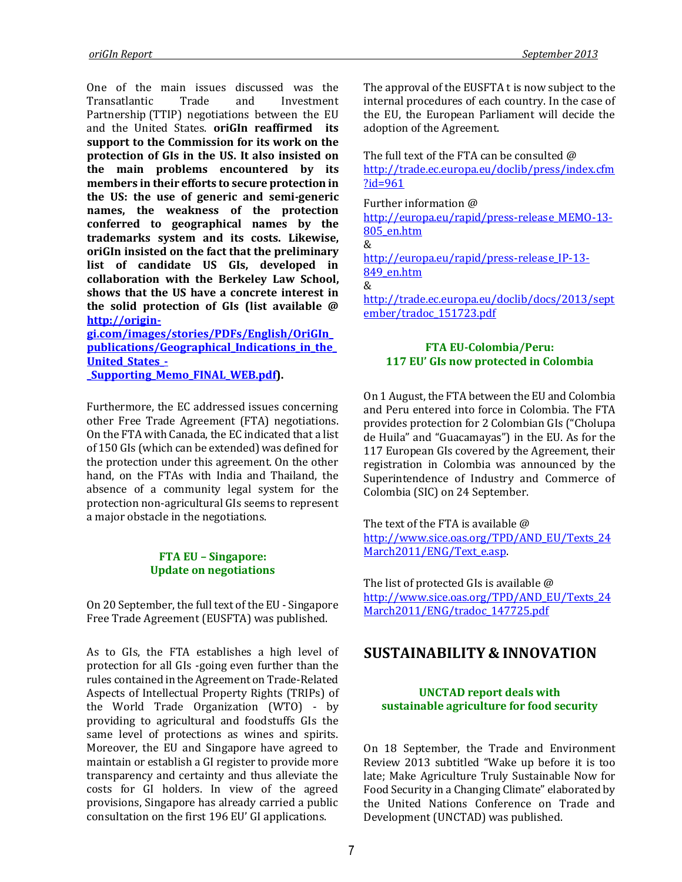One of the main issues discussed was the Transatlantic Trade and Investment Partnership (TTIP) negotiations between the EU and the United States. **oriGIn reaffirmed its support to the Commission for its work on the protection of GIs in the US. It also insisted on the main problems encountered by its members in their efforts to secure protection in the US: the use of generic and semi-generic names, the weakness of the protection conferred to geographical names by the trademarks system and its costs. Likewise, oriGIn insisted on the fact that the preliminary list of candidate US GIs, developed in collaboration with the Berkeley Law School, shows that the US have a concrete interest in the solid protection of GIs (list available @ [http://origin](http://origin-gi.com/images/stories/PDFs/English/OriGIn_publications/Geographical_Indications_in_the_United_States_-_Supporting_Memo_FINAL_WEB.pdf)[gi.com/images/stories/PDFs/English/OriGIn\\_](http://origin-gi.com/images/stories/PDFs/English/OriGIn_publications/Geographical_Indications_in_the_United_States_-_Supporting_Memo_FINAL_WEB.pdf)**

**[publications/Geographical\\_Indications\\_in\\_the\\_](http://origin-gi.com/images/stories/PDFs/English/OriGIn_publications/Geographical_Indications_in_the_United_States_-_Supporting_Memo_FINAL_WEB.pdf) [United\\_States\\_-](http://origin-gi.com/images/stories/PDFs/English/OriGIn_publications/Geographical_Indications_in_the_United_States_-_Supporting_Memo_FINAL_WEB.pdf) [\\_Supporting\\_Memo\\_FINAL\\_WEB.pdf\)](http://origin-gi.com/images/stories/PDFs/English/OriGIn_publications/Geographical_Indications_in_the_United_States_-_Supporting_Memo_FINAL_WEB.pdf).** 

Furthermore, the EC addressed issues concerning other Free Trade Agreement (FTA) negotiations. On the FTA with Canada, the EC indicated that a list of 150 GIs (which can be extended) was defined for the protection under this agreement. On the other hand, on the FTAs with India and Thailand, the absence of a community legal system for the protection non-agricultural GIs seems to represent a major obstacle in the negotiations.

#### **FTA EU – Singapore: Update on negotiations**

On 20 September, the full text of the EU - Singapore Free Trade Agreement (EUSFTA) was published.

As to GIs, the FTA establishes a high level of protection for all GIs -going even further than the rules contained in the Agreement on Trade-Related Aspects of Intellectual Property Rights (TRIPs) of the World Trade Organization (WTO) - by providing to agricultural and foodstuffs GIs the same level of protections as wines and spirits. Moreover, the EU and Singapore have agreed to maintain or establish a GI register to provide more transparency and certainty and thus alleviate the costs for GI holders. In view of the agreed provisions, Singapore has already carried a public consultation on the first 196 EU' GI applications.

The approval of the EUSFTA t is now subject to the internal procedures of each country. In the case of the EU, the European Parliament will decide the adoption of the Agreement.

The full text of the FTA can be consulted @ [http://trade.ec.europa.eu/doclib/press/index.cfm](http://trade.ec.europa.eu/doclib/press/index.cfm?id=961) [?id=961](http://trade.ec.europa.eu/doclib/press/index.cfm?id=961)

Further information @ [http://europa.eu/rapid/press-release\\_MEMO-13-](http://europa.eu/rapid/press-release_MEMO-13-805_en.htm) [805\\_en.htm](http://europa.eu/rapid/press-release_MEMO-13-805_en.htm) & [http://europa.eu/rapid/press-release\\_IP-13-](http://europa.eu/rapid/press-release_IP-13-849_en.htm) 849 en.htm & [http://trade.ec.europa.eu/doclib/docs/2013/sept](http://trade.ec.europa.eu/doclib/docs/2013/september/tradoc_151723.pdf) [ember/tradoc\\_151723.pdf](http://trade.ec.europa.eu/doclib/docs/2013/september/tradoc_151723.pdf)

#### **FTA EU-Colombia/Peru: 117 EU' GIs now protected in Colombia**

On 1 August, the FTA between the EU and Colombia and Peru entered into force in Colombia. The FTA provides protection for 2 Colombian GIs ("Cholupa de Huila" and "Guacamayas") in the EU. As for the 117 European GIs covered by the Agreement, their registration in Colombia was announced by the Superintendence of Industry and Commerce of Colombia (SIC) on 24 September.

The text of the FTA is available @ [http://www.sice.oas.org/TPD/AND\\_EU/Texts\\_24](http://www.sice.oas.org/TPD/AND_EU/Texts_24March2011/ENG/Text_e.asp) March2011/ENG/Text\_e.asp.

The list of protected GIs is available @ [http://www.sice.oas.org/TPD/AND\\_EU/Texts\\_24](http://www.sice.oas.org/TPD/AND_EU/Texts_24March2011/ENG/tradoc_147725.pdf) [March2011/ENG/tradoc\\_147725.pdf](http://www.sice.oas.org/TPD/AND_EU/Texts_24March2011/ENG/tradoc_147725.pdf)

# **SUSTAINABILITY & INNOVATION**

#### **UNCTAD report deals with sustainable agriculture for food security**

On 18 September, the Trade and Environment Review 2013 subtitled "Wake up before it is too late; Make Agriculture Truly Sustainable Now for Food Security in a Changing Climate" elaborated by the United Nations Conference on Trade and Development (UNCTAD) was published.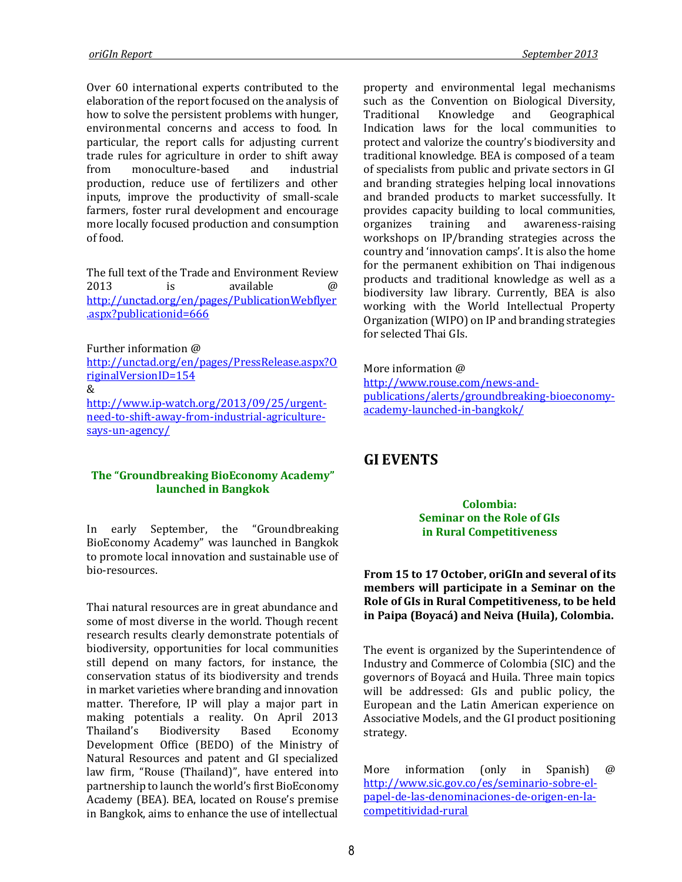Over 60 international experts contributed to the elaboration of the report focused on the analysis of how to solve the persistent problems with hunger, environmental concerns and access to food. In particular, the report calls for adjusting current trade rules for agriculture in order to shift away from monoculture-based and industrial production, reduce use of fertilizers and other inputs, improve the productivity of small-scale farmers, foster rural development and encourage more locally focused production and consumption of food.

The full text of the Trade and Environment Review 2013 is available @ [http://unctad.org/en/pages/PublicationWebflyer](http://unctad.org/en/pages/PublicationWebflyer.aspx?publicationid=666) [.aspx?publicationid=666](http://unctad.org/en/pages/PublicationWebflyer.aspx?publicationid=666)

Further information @ [http://unctad.org/en/pages/PressRelease.aspx?O](http://unctad.org/en/pages/PressRelease.aspx?OriginalVersionID=154) [riginalVersionID=154](http://unctad.org/en/pages/PressRelease.aspx?OriginalVersionID=154) & [http://www.ip-watch.org/2013/09/25/urgent](http://www.ip-watch.org/2013/09/25/urgent-need-to-shift-away-from-industrial-agriculture-says-un-agency/)[need-to-shift-away-from-industrial-agriculture](http://www.ip-watch.org/2013/09/25/urgent-need-to-shift-away-from-industrial-agriculture-says-un-agency/)[says-un-agency/](http://www.ip-watch.org/2013/09/25/urgent-need-to-shift-away-from-industrial-agriculture-says-un-agency/)

#### **The "Groundbreaking BioEconomy Academy" launched in Bangkok**

In early September, the "Groundbreaking BioEconomy Academy" was launched in Bangkok to promote local innovation and sustainable use of bio-resources.

Thai natural resources are in great abundance and some of most diverse in the world. Though recent research results clearly demonstrate potentials of biodiversity, opportunities for local communities still depend on many factors, for instance, the conservation status of its biodiversity and trends in market varieties where branding and innovation matter. Therefore, IP will play a major part in making potentials a reality. On April 2013 Thailand's Biodiversity Based Economy Development Office (BEDO) of the Ministry of Natural Resources and patent and GI specialized law firm, "Rouse (Thailand)", have entered into partnership to launch the world's first BioEconomy Academy (BEA). BEA, located on Rouse's premise in Bangkok, aims to enhance the use of intellectual

property and environmental legal mechanisms such as the Convention on Biological Diversity, Traditional Knowledge and Geographical Indication laws for the local communities to protect and valorize the country's biodiversity and traditional knowledge. BEA is composed of a team of specialists from public and private sectors in GI and branding strategies helping local innovations and branded products to market successfully. It provides capacity building to local communities, organizes training and awareness-raising workshops on IP/branding strategies across the country and 'innovation camps'. It is also the home for the permanent exhibition on Thai indigenous products and traditional knowledge as well as a biodiversity law library. Currently, BEA is also working with the World Intellectual Property Organization (WIPO) on IP and branding strategies for selected Thai GIs.

More information @ [http://www.rouse.com/news-and](http://www.rouse.com/news-and-publications/alerts/groundbreaking-bioeconomy-academy-launched-in-bangkok/)[publications/alerts/groundbreaking-bioeconomy](http://www.rouse.com/news-and-publications/alerts/groundbreaking-bioeconomy-academy-launched-in-bangkok/)[academy-launched-in-bangkok/](http://www.rouse.com/news-and-publications/alerts/groundbreaking-bioeconomy-academy-launched-in-bangkok/)

# **GI EVENTS**

#### **Colombia: Seminar on the Role of GIs in Rural Competitiveness**

### **From 15 to 17 October, oriGIn and several of its members will participate in a Seminar on the Role of GIs in Rural Competitiveness, to be held in Paipa (Boyacá) and Neiva (Huila), Colombia.**

The event is organized by the Superintendence of Industry and Commerce of Colombia (SIC) and the governors of Boyacá and Huila. Three main topics will be addressed: GIs and public policy, the European and the Latin American experience on Associative Models, and the GI product positioning strategy.

More information (only in Spanish) @ [http://www.sic.gov.co/es/seminario-sobre-el](http://www.sic.gov.co/es/seminario-sobre-el-papel-de-las-denominaciones-de-origen-en-la-competitividad-rural)[papel-de-las-denominaciones-de-origen-en-la](http://www.sic.gov.co/es/seminario-sobre-el-papel-de-las-denominaciones-de-origen-en-la-competitividad-rural)[competitividad-rural](http://www.sic.gov.co/es/seminario-sobre-el-papel-de-las-denominaciones-de-origen-en-la-competitividad-rural)